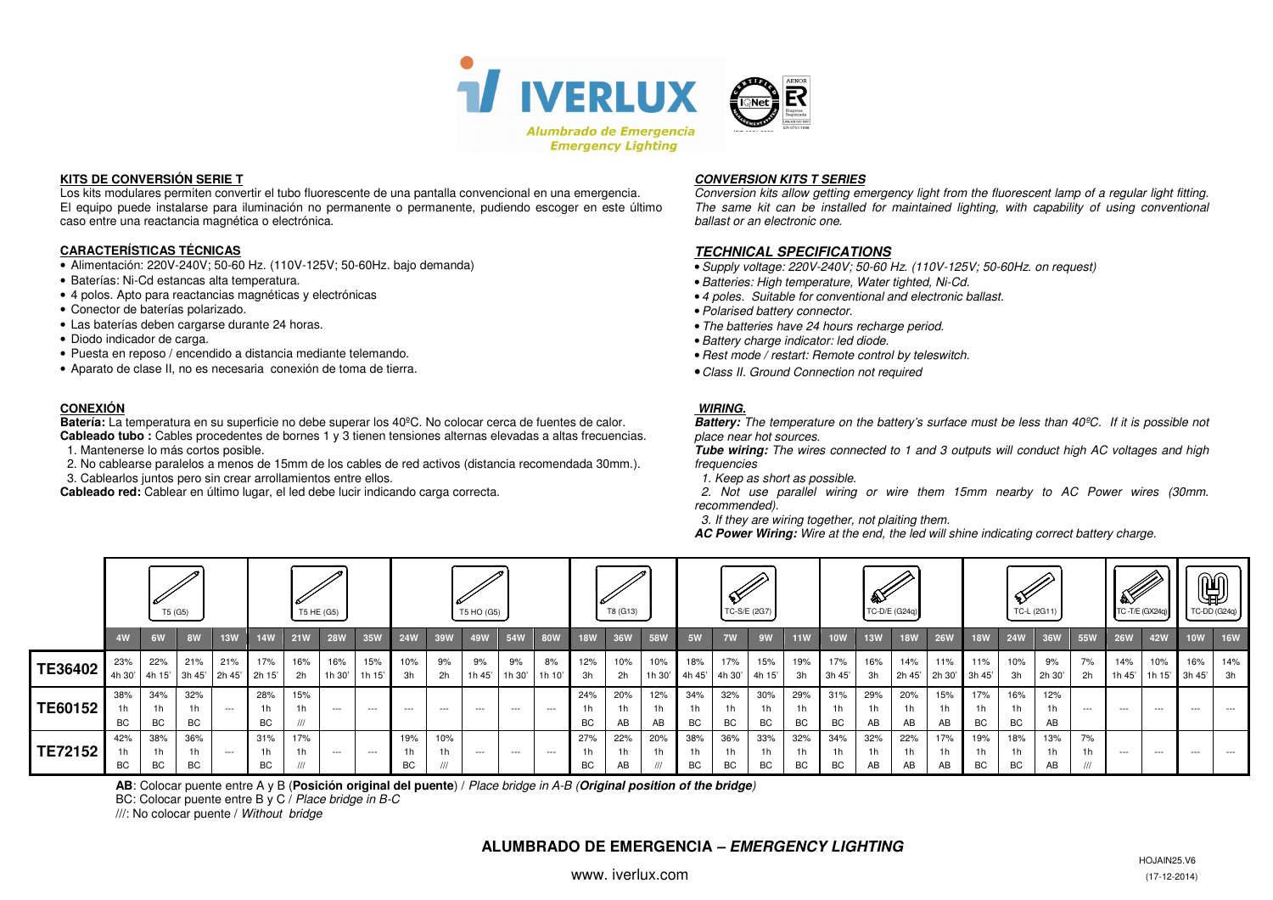

#### **KITS DE CONVERSIÓN SERIE T**

 Los kits modulares permiten convertir el tubo fluorescente de una pantalla convencional en una emergencia. El equipo puede instalarse para iluminación no permanente o permanente, pudiendo escoger en este último caso entre una reactancia magnética o electrónica.

#### **CARACTERÍSTICAS TÉCNICAS**

- Alimentación: 220V-240V; 50-60 Hz. (110V-125V; 50-60Hz. bajo demanda)
- Baterías: Ni-Cd estancas alta temperatura.
- 4 polos. Apto para reactancias magnéticas y electrónicas
- Conector de baterías polarizado.
- Las baterías deben cargarse durante 24 horas.
- Diodo indicador de carga.
- Puesta en reposo / encendido a distancia mediante telemando.
- Aparato de clase II, no es necesaria conexión de toma de tierra.

## **CONEXIÓN**

 **Batería:** La temperatura en su superficie no debe superar los 40ºC. No colocar cerca de fuentes de calor. **Cableado tubo :** Cables procedentes de bornes 1 y 3 tienen tensiones alternas elevadas a altas frecuencias.

- 1. Mantenerse lo más cortos posible.
- 2. No cablearse paralelos a menos de 15mm de los cables de red activos (distancia recomendada 30mm.).
- 3. Cablearlos juntos pero sin crear arrollamientos entre ellos.

**Cableado red:** Cablear en último lugar, el led debe lucir indicando carga correcta.

#### **CONVERSION KITS T SERIES**

 Conversion kits allow getting emergency light from the fluorescent lamp of a regular light fitting. The same kit can be installed for maintained lighting, with capability of using conventional ballast or an electronic one.

## **TECHNICAL SPECIFICATIONS**

- •Supply voltage: 220V-240V; 50-60 Hz. (110V-125V; 50-60Hz. on request)
- •Batteries: High temperature, Water tighted, Ni-Cd.
- 4 poles. Suitable for conventional and electronic ballast.
- •Polarised battery connector.
- The batteries have 24 hours recharge period.
- •Battery charge indicator: led diode.
- Rest mode / restart: Remote control by teleswitch.
- Class II. Ground Connection not required

### **WIRING.**

 **Battery:** The temperature on the battery's surface must be less than 40ºC. If it is possible not place near hot sources.

 **Tube wiring:** The wires connected to 1 and 3 outputs will conduct high AC voltages and high frequencies

1. Keep as short as possible.

 2. Not use parallel wiring or wire them 15mm nearby to AC Power wires (30mm. recommended).

3. If they are wiring together, not plaiting them.

**AC Power Wiring:** Wire at the end, the led will shine indicating correct battery charge.

|                | T5 (G5)      |                 |                      | T5 HE (G5)           |                              |            |               | T5 HO (G5)    |            |                              |              | T8 (G13)     |               |                 | TC-S/E (2G7)                |                              |                       | ∰<br>TC-D/E (G24q) |                 |            |                  | TC-L (2G11)                 |               |                             |                             | $\mathscr{L}$<br>TC-T/E (GX24q) |                             | $\mathbb{Q}$<br>TC-DD (G24q) |               |            |                         |            |
|----------------|--------------|-----------------|----------------------|----------------------|------------------------------|------------|---------------|---------------|------------|------------------------------|--------------|--------------|---------------|-----------------|-----------------------------|------------------------------|-----------------------|--------------------|-----------------|------------|------------------|-----------------------------|---------------|-----------------------------|-----------------------------|---------------------------------|-----------------------------|------------------------------|---------------|------------|-------------------------|------------|
|                | 4W           | 6W              | 8W                   | <b>13W</b>           | <b>14W</b>                   | <b>21W</b> | <b>28W</b>    | 35W           | <b>24W</b> | 39W                          | 49W          | 54W          | <b>80W</b>    | 18W             | 36W                         | <b>58W</b>                   | 5W                    | 7W                 | 9W              | <b>11W</b> | 10W              | 13W                         | <b>18W</b>    | <b>26W</b>                  | <b>18W</b>                  | <b>24W</b>                      | 36W                         | 55W                          | <b>26W</b>    | <b>42W</b> | <b>10W</b>              | <b>16W</b> |
| TE36402        | 23%<br>4h 30 | 22%             | 21%<br>4h 15' 3h 45' | 21%<br>2h 45' 2h 15' | 17%                          | 16%<br>2h  | 16%<br>1h 30' | 15%<br>1h 15' | 10%<br>3h  | 9%<br>2h                     | 9%<br>1h 45' | 9%<br>1h 30' | 8%<br>1h 10'  | 12%<br>3h       | 10%<br>2h                   | 10%<br>1h 30'                | 18%<br>4h 45' 4h 30'  | 17%                | 15%<br>4h 15'   | 19%<br>3h  | 17%<br>3h 45'    | 16%<br>3h                   | 14%<br>2h 45' | 11%<br>2h 30'               | 11%<br>$3h$ 45'             | 10%<br>3h                       | 9%<br>2h 30'                | 7%<br>2h                     | 14%<br>1h 45' | 10%        | 16%<br>1h 15' 3h 45' 3h | 14%        |
| <b>TE60152</b> | 38%<br>BC    | 34%<br>1h<br>BC | 32%<br>BC            | $- - -$              | 28%<br>1 <sub>h</sub><br>BC. | 15%        | $\cdots$      | $\cdots$      | $--$       | $--$                         | $- - -$      | $- - -$      | $\sim$ $\sim$ | 24%<br>1h<br>BC | 20%<br>1 <sub>h</sub><br>AB | 12%<br>1h<br>AB              | 34%<br>1h<br>BC       | 32%<br>1h.<br>BC   | 30%<br>1h<br>BC | 29%<br>BC  | 31%<br><b>BC</b> | 29%<br>1 <sub>h</sub><br>AB | 20%<br>AB     | 15%<br>1 <sub>h</sub><br>AB | 17%<br>1 <sub>h</sub><br>BC | 16%<br>BC                       | 12%<br>AB                   | $- - -$                      | $- - -$       | $--$       | $- - -$                 | $--$       |
| TE72152        | 42%<br>ВC    | 38%<br>1h<br>ВC | 36%<br>BC            | $- - -$              | 31%<br>1 <sub>h</sub><br>BC  | 17%        | $\cdots$      | $\cdots$      | 19%<br>ВC  | 10%<br>1 <sub>h</sub><br>III | $- - -$      | $---$        | $- - -$       | 27%<br>1h<br>ВC | 22%<br>1 <sub>h</sub><br>AB | 20%<br>1 <sub>h</sub><br>111 | 38%<br>1 <sub>h</sub> | 36%<br>BC          | 33%<br>1h<br>BC | 32%<br>BC  | 34%<br>BC        | 32%<br>1 <sub>h</sub><br>AB | 22%<br>AB     | 17%<br>1 <sub>h</sub><br>AB | 19%<br>1h<br>BC             | 18%<br>BC                       | 13%<br>1 <sub>h</sub><br>AB | 7%<br>1h                     | $\cdots$      | $--$       | $--$                    |            |

**AB**: Colocar puente entre A y B (**Posición original del puente**) / Place bridge in A-B (**Original position of the bridge**)

BC: Colocar puente entre B y C / Place bridge in B-C

///: No colocar puente / Without bridge

# **ALUMBRADO DE EMERGENCIA – EMERGENCY LIGHTING**

www. iverlux.com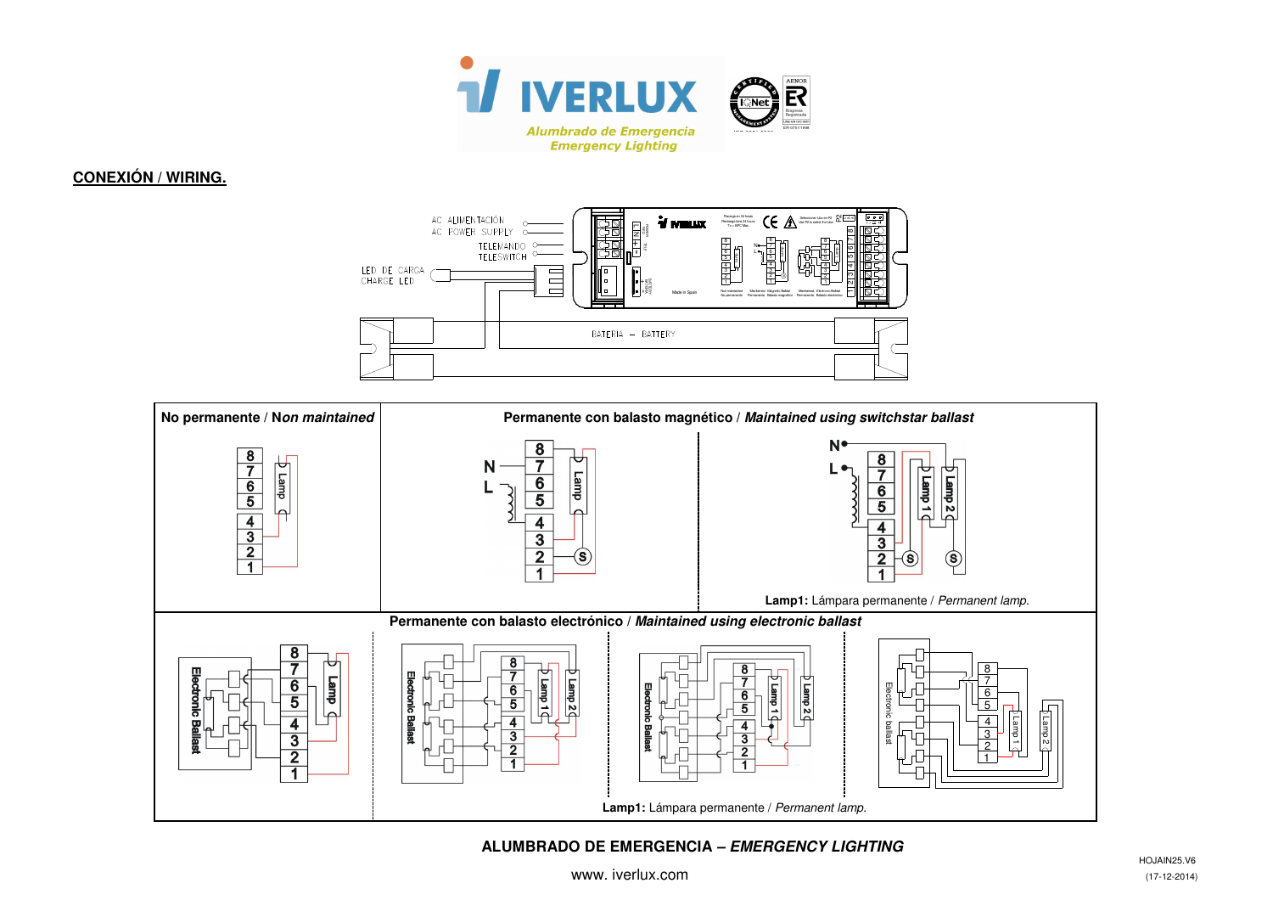

# **CONEXIÓN / WIRING.**





# **ALUMBRADO DE EMERGENCIA – EMERGENCY LIGHTING**